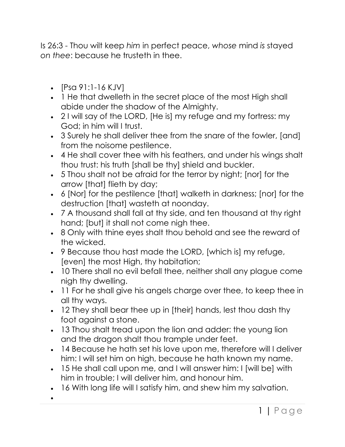Is 26:3 - Thou wilt keep *him* in perfect peace, *whose* mind *is* stayed *on thee*: because he trusteth in thee.

- [Psa 91:1-16 KJV]
- 1 He that dwelleth in the secret place of the most High shall abide under the shadow of the Almighty.
- 2 I will say of the LORD, [He is] my refuge and my fortress: my God; in him will I trust.
- 3 Surely he shall deliver thee from the snare of the fowler, [and] from the noisome pestilence.
- 4 He shall cover thee with his feathers, and under his wings shalt thou trust: his truth [shall be thy] shield and buckler.
- 5 Thou shalt not be afraid for the terror by night; [nor] for the arrow [that] flieth by day;
- 6 [Nor] for the pestilence [that] walketh in darkness; [nor] for the destruction [that] wasteth at noonday.
- 7 A thousand shall fall at thy side, and ten thousand at thy right hand; [but] it shall not come nigh thee.
- 8 Only with thine eyes shalt thou behold and see the reward of the wicked.
- 9 Because thou hast made the LORD, [which is] my refuge, [even] the most High, thy habitation;
- 10 There shall no evil befall thee, neither shall any plague come nigh thy dwelling.
- 11 For he shall give his angels charge over thee, to keep thee in all thy ways.
- 12 They shall bear thee up in [their] hands, lest thou dash thy foot against a stone.
- 13 Thou shalt tread upon the lion and adder: the young lion and the dragon shalt thou trample under feet.
- 14 Because he hath set his love upon me, therefore will I deliver him: I will set him on high, because he hath known my name.
- 15 He shall call upon me, and I will answer him: I [will be] with him in trouble; I will deliver him, and honour him.
- 16 With long life will I satisfy him, and shew him my salvation.
- •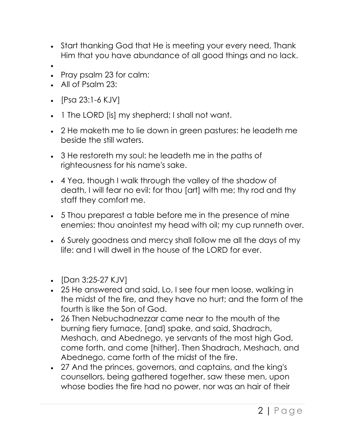- Start thanking God that He is meeting your every need, Thank Him that you have abundance of all good things and no lack.
- •
- Pray psalm 23 for calm:
- All of Psalm 23:
- [Psa 23:1-6 KJV]
- 1 The LORD [is] my shepherd; I shall not want.
- 2 He maketh me to lie down in green pastures: he leadeth me beside the still waters.
- 3 He restoreth my soul: he leadeth me in the paths of righteousness for his name's sake.
- 4 Yea, though I walk through the valley of the shadow of death, I will fear no evil: for thou [art] with me; thy rod and thy staff they comfort me.
- 5 Thou preparest a table before me in the presence of mine enemies: thou anointest my head with oil; my cup runneth over.
- 6 Surely goodness and mercy shall follow me all the days of my life: and I will dwell in the house of the LORD for ever.
- [Dan 3:25-27 KJV]
- 25 He answered and said, Lo, I see four men loose, walking in the midst of the fire, and they have no hurt; and the form of the fourth is like the Son of God.
- 26 Then Nebuchadnezzar came near to the mouth of the burning fiery furnace, [and] spake, and said, Shadrach, Meshach, and Abednego, ye servants of the most high God, come forth, and come [hither]. Then Shadrach, Meshach, and Abednego, came forth of the midst of the fire.
- 27 And the princes, governors, and captains, and the king's counsellors, being gathered together, saw these men, upon whose bodies the fire had no power, nor was an hair of their